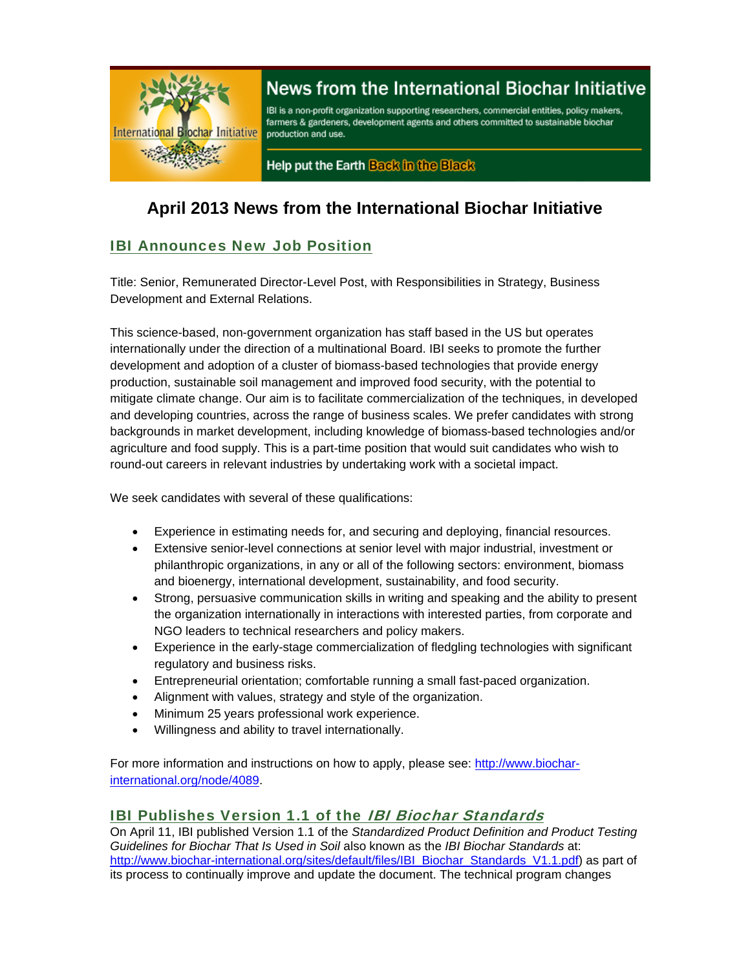

# News from the International Biochar Initiative

IBI is a non-profit organization supporting researchers, commercial entities, policy makers, farmers & gardeners, development agents and others committed to sustainable biochar production and use.

Help put the Earth Back in the Black

# **April 2013 News from the International Biochar Initiative**

# IBI Announces New Job Position

Title: Senior, Remunerated Director-Level Post, with Responsibilities in Strategy, Business Development and External Relations.

This science-based, non-government organization has staff based in the US but operates internationally under the direction of a multinational Board. IBI seeks to promote the further development and adoption of a cluster of biomass-based technologies that provide energy production, sustainable soil management and improved food security, with the potential to mitigate climate change. Our aim is to facilitate commercialization of the techniques, in developed and developing countries, across the range of business scales. We prefer candidates with strong backgrounds in market development, including knowledge of biomass-based technologies and/or agriculture and food supply. This is a part-time position that would suit candidates who wish to round-out careers in relevant industries by undertaking work with a societal impact.

We seek candidates with several of these qualifications:

- Experience in estimating needs for, and securing and deploying, financial resources.
- Extensive senior-level connections at senior level with major industrial, investment or philanthropic organizations, in any or all of the following sectors: environment, biomass and bioenergy, international development, sustainability, and food security.
- Strong, persuasive communication skills in writing and speaking and the ability to present the organization internationally in interactions with interested parties, from corporate and NGO leaders to technical researchers and policy makers.
- Experience in the early-stage commercialization of fledgling technologies with significant regulatory and business risks.
- Entrepreneurial orientation; comfortable running a small fast-paced organization.
- Alignment with values, strategy and style of the organization.
- Minimum 25 years professional work experience.
- Willingness and ability to travel internationally.

For more information and instructions on how to apply, please see: http://www.biocharinternational.org/node/4089.

### IBI Publishes Version 1.1 of the IBI Biochar Standards

On April 11, IBI published Version 1.1 of the *Standardized Product Definition and Product Testing Guidelines for Biochar That Is Used in Soil* also known as the *IBI Biochar Standards* at: http://www.biochar-international.org/sites/default/files/IBI\_Biochar\_Standards\_V1.1.pdf) as part of its process to continually improve and update the document. The technical program changes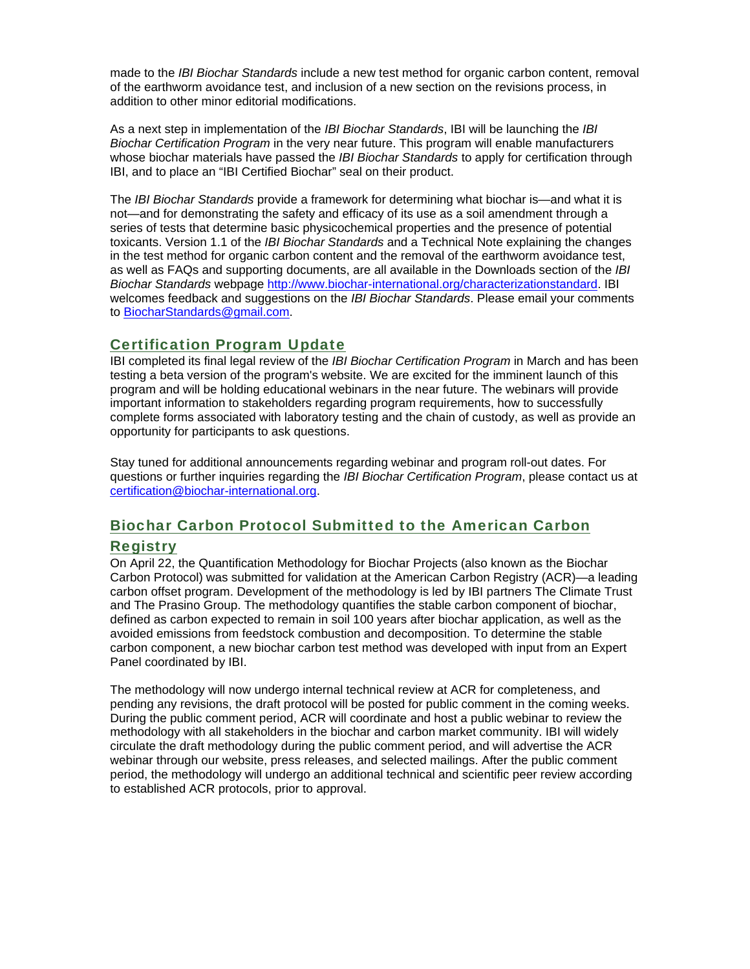made to the *IBI Biochar Standards* include a new test method for organic carbon content, removal of the earthworm avoidance test, and inclusion of a new section on the revisions process, in addition to other minor editorial modifications.

As a next step in implementation of the *IBI Biochar Standards*, IBI will be launching the *IBI Biochar Certification Program* in the very near future. This program will enable manufacturers whose biochar materials have passed the *IBI Biochar Standards* to apply for certification through IBI, and to place an "IBI Certified Biochar" seal on their product.

The *IBI Biochar Standards* provide a framework for determining what biochar is—and what it is not—and for demonstrating the safety and efficacy of its use as a soil amendment through a series of tests that determine basic physicochemical properties and the presence of potential toxicants. Version 1.1 of the *IBI Biochar Standards* and a Technical Note explaining the changes in the test method for organic carbon content and the removal of the earthworm avoidance test, as well as FAQs and supporting documents, are all available in the Downloads section of the *IBI Biochar Standards* webpage http://www.biochar-international.org/characterizationstandard. IBI welcomes feedback and suggestions on the *IBI Biochar Standards*. Please email your comments to BiocharStandards@gmail.com.

### Certification Program Update

IBI completed its final legal review of the *IBI Biochar Certification Program* in March and has been testing a beta version of the program's website. We are excited for the imminent launch of this program and will be holding educational webinars in the near future. The webinars will provide important information to stakeholders regarding program requirements, how to successfully complete forms associated with laboratory testing and the chain of custody, as well as provide an opportunity for participants to ask questions.

Stay tuned for additional announcements regarding webinar and program roll-out dates. For questions or further inquiries regarding the *IBI Biochar Certification Program*, please contact us at certification@biochar-international.org.

### Biochar Carbon Protocol Submitted to the American Carbon

### Registry

On April 22, the Quantification Methodology for Biochar Projects (also known as the Biochar Carbon Protocol) was submitted for validation at the American Carbon Registry (ACR)—a leading carbon offset program. Development of the methodology is led by IBI partners The Climate Trust and The Prasino Group. The methodology quantifies the stable carbon component of biochar, defined as carbon expected to remain in soil 100 years after biochar application, as well as the avoided emissions from feedstock combustion and decomposition. To determine the stable carbon component, a new biochar carbon test method was developed with input from an Expert Panel coordinated by IBI.

The methodology will now undergo internal technical review at ACR for completeness, and pending any revisions, the draft protocol will be posted for public comment in the coming weeks. During the public comment period, ACR will coordinate and host a public webinar to review the methodology with all stakeholders in the biochar and carbon market community. IBI will widely circulate the draft methodology during the public comment period, and will advertise the ACR webinar through our website, press releases, and selected mailings. After the public comment period, the methodology will undergo an additional technical and scientific peer review according to established ACR protocols, prior to approval.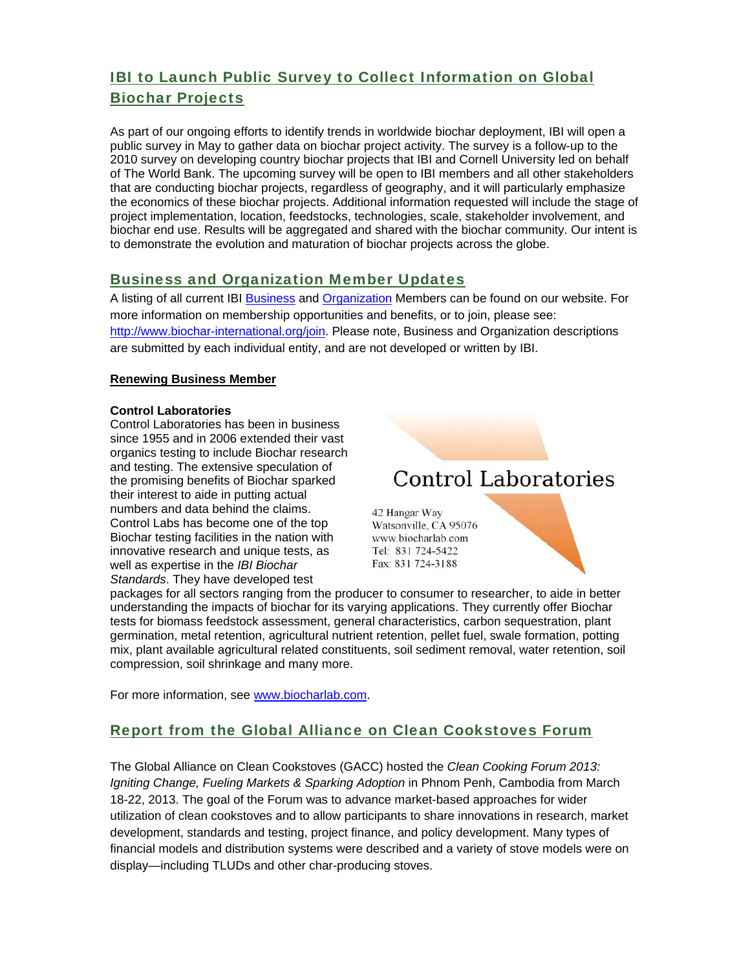# IBI to Launch Public Survey to Collect Information on Global Biochar Projects

As part of our ongoing efforts to identify trends in worldwide biochar deployment, IBI will open a public survey in May to gather data on biochar project activity. The survey is a follow-up to the 2010 survey on developing country biochar projects that IBI and Cornell University led on behalf of The World Bank. The upcoming survey will be open to IBI members and all other stakeholders that are conducting biochar projects, regardless of geography, and it will particularly emphasize the economics of these biochar projects. Additional information requested will include the stage of project implementation, location, feedstocks, technologies, scale, stakeholder involvement, and biochar end use. Results will be aggregated and shared with the biochar community. Our intent is to demonstrate the evolution and maturation of biochar projects across the globe.

### Business and Organization Member Updates

A listing of all current IBI Business and Organization Members can be found on our website. For more information on membership opportunities and benefits, or to join, please see: http://www.biochar-international.org/join. Please note, Business and Organization descriptions are submitted by each individual entity, and are not developed or written by IBI.

#### **Renewing Business Member**

#### **Control Laboratories**

Control Laboratories has been in business since 1955 and in 2006 extended their vast organics testing to include Biochar research and testing. The extensive speculation of the promising benefits of Biochar sparked their interest to aide in putting actual numbers and data behind the claims. Control Labs has become one of the top Biochar testing facilities in the nation with innovative research and unique tests, as well as expertise in the *IBI Biochar Standards*. They have developed test



packages for all sectors ranging from the producer to consumer to researcher, to aide in better understanding the impacts of biochar for its varying applications. They currently offer Biochar tests for biomass feedstock assessment, general characteristics, carbon sequestration, plant germination, metal retention, agricultural nutrient retention, pellet fuel, swale formation, potting mix, plant available agricultural related constituents, soil sediment removal, water retention, soil compression, soil shrinkage and many more.

For more information, see www.biocharlab.com.

# Report from the Global Alliance on Clean Cookstoves Forum

The Global Alliance on Clean Cookstoves (GACC) hosted the *Clean Cooking Forum 2013: Igniting Change, Fueling Markets & Sparking Adoption* in Phnom Penh, Cambodia from March 18-22, 2013. The goal of the Forum was to advance market-based approaches for wider utilization of clean cookstoves and to allow participants to share innovations in research, market development, standards and testing, project finance, and policy development. Many types of financial models and distribution systems were described and a variety of stove models were on display—including TLUDs and other char-producing stoves.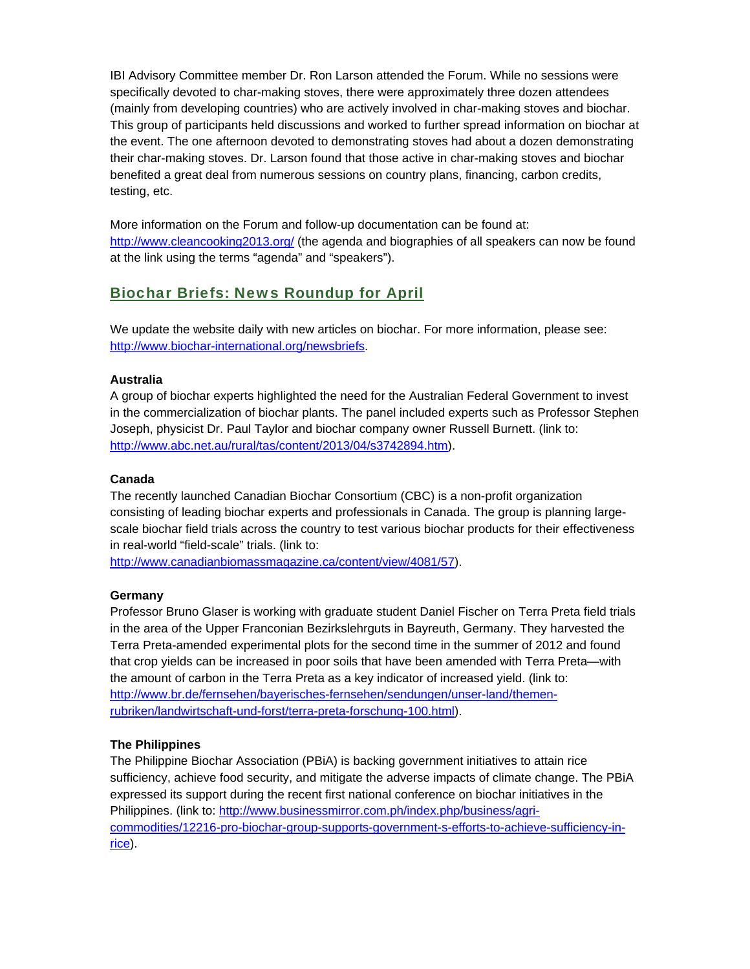IBI Advisory Committee member Dr. Ron Larson attended the Forum. While no sessions were specifically devoted to char-making stoves, there were approximately three dozen attendees (mainly from developing countries) who are actively involved in char-making stoves and biochar. This group of participants held discussions and worked to further spread information on biochar at the event. The one afternoon devoted to demonstrating stoves had about a dozen demonstrating their char-making stoves. Dr. Larson found that those active in char-making stoves and biochar benefited a great deal from numerous sessions on country plans, financing, carbon credits, testing, etc.

More information on the Forum and follow-up documentation can be found at: http://www.cleancooking2013.org/ (the agenda and biographies of all speakers can now be found at the link using the terms "agenda" and "speakers").

## Biochar Briefs: News Roundup for April

We update the website daily with new articles on biochar. For more information, please see: http://www.biochar-international.org/newsbriefs.

#### **Australia**

A group of biochar experts highlighted the need for the Australian Federal Government to invest in the commercialization of biochar plants. The panel included experts such as Professor Stephen Joseph, physicist Dr. Paul Taylor and biochar company owner Russell Burnett. (link to: http://www.abc.net.au/rural/tas/content/2013/04/s3742894.htm).

#### **Canada**

The recently launched Canadian Biochar Consortium (CBC) is a non-profit organization consisting of leading biochar experts and professionals in Canada. The group is planning largescale biochar field trials across the country to test various biochar products for their effectiveness in real-world "field-scale" trials. (link to:

http://www.canadianbiomassmagazine.ca/content/view/4081/57).

#### **Germany**

Professor Bruno Glaser is working with graduate student Daniel Fischer on Terra Preta field trials in the area of the Upper Franconian Bezirkslehrguts in Bayreuth, Germany. They harvested the Terra Preta-amended experimental plots for the second time in the summer of 2012 and found that crop yields can be increased in poor soils that have been amended with Terra Preta—with the amount of carbon in the Terra Preta as a key indicator of increased yield. (link to: http://www.br.de/fernsehen/bayerisches-fernsehen/sendungen/unser-land/themenrubriken/landwirtschaft-und-forst/terra-preta-forschung-100.html).

#### **The Philippines**

The Philippine Biochar Association (PBiA) is backing government initiatives to attain rice sufficiency, achieve food security, and mitigate the adverse impacts of climate change. The PBiA expressed its support during the recent first national conference on biochar initiatives in the Philippines. (link to: http://www.businessmirror.com.ph/index.php/business/agricommodities/12216-pro-biochar-group-supports-government-s-efforts-to-achieve-sufficiency-inrice).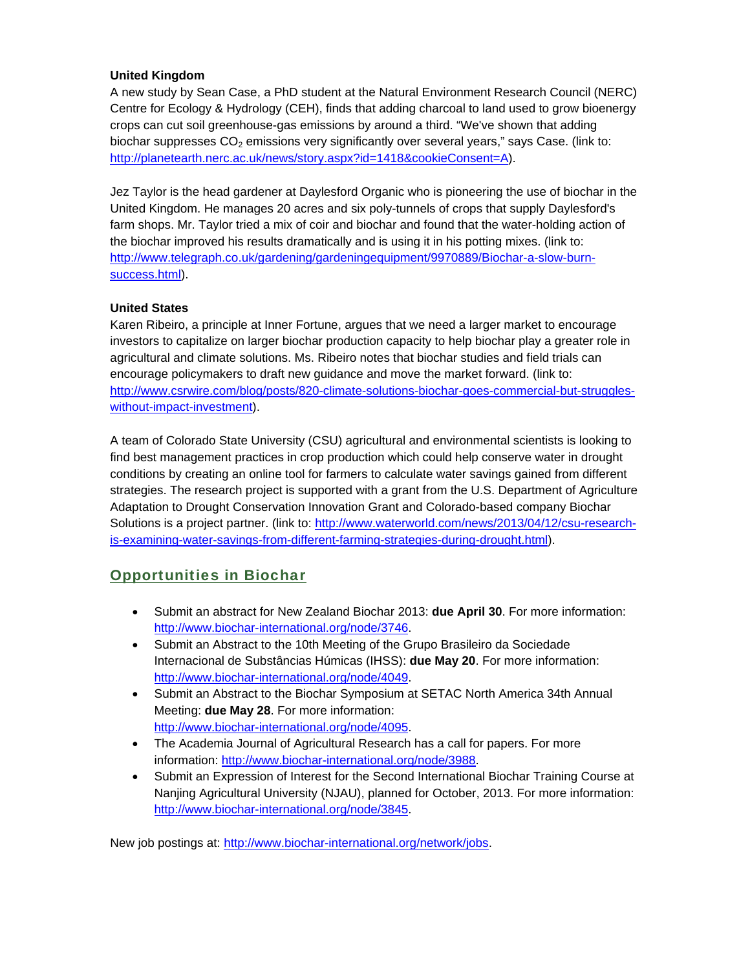#### **United Kingdom**

A new study by Sean Case, a PhD student at the Natural Environment Research Council (NERC) Centre for Ecology & Hydrology (CEH), finds that adding charcoal to land used to grow bioenergy crops can cut soil greenhouse-gas emissions by around a third. "We've shown that adding biochar suppresses  $CO<sub>2</sub>$  emissions very significantly over several years," says Case. (link to: http://planetearth.nerc.ac.uk/news/story.aspx?id=1418&cookieConsent=A).

Jez Taylor is the head gardener at Daylesford Organic who is pioneering the use of biochar in the United Kingdom. He manages 20 acres and six poly-tunnels of crops that supply Daylesford's farm shops. Mr. Taylor tried a mix of coir and biochar and found that the water-holding action of the biochar improved his results dramatically and is using it in his potting mixes. (link to: http://www.telegraph.co.uk/gardening/gardeningequipment/9970889/Biochar-a-slow-burnsuccess.html).

#### **United States**

Karen Ribeiro, a principle at Inner Fortune, argues that we need a larger market to encourage investors to capitalize on larger biochar production capacity to help biochar play a greater role in agricultural and climate solutions. Ms. Ribeiro notes that biochar studies and field trials can encourage policymakers to draft new guidance and move the market forward. (link to: http://www.csrwire.com/blog/posts/820-climate-solutions-biochar-goes-commercial-but-struggleswithout-impact-investment).

A team of Colorado State University (CSU) agricultural and environmental scientists is looking to find best management practices in crop production which could help conserve water in drought conditions by creating an online tool for farmers to calculate water savings gained from different strategies. The research project is supported with a grant from the U.S. Department of Agriculture Adaptation to Drought Conservation Innovation Grant and Colorado-based company Biochar Solutions is a project partner. (link to: http://www.waterworld.com/news/2013/04/12/csu-researchis-examining-water-savings-from-different-farming-strategies-during-drought.html).

# Opportunities in Biochar

- Submit an abstract for New Zealand Biochar 2013: **due April 30**. For more information: http://www.biochar-international.org/node/3746.
- Submit an Abstract to the 10th Meeting of the Grupo Brasileiro da Sociedade Internacional de Substâncias Húmicas (IHSS): **due May 20**. For more information: http://www.biochar-international.org/node/4049.
- Submit an Abstract to the Biochar Symposium at SETAC North America 34th Annual Meeting: **due May 28**. For more information: http://www.biochar-international.org/node/4095.
- The Academia Journal of Agricultural Research has a call for papers. For more information: http://www.biochar-international.org/node/3988.
- Submit an Expression of Interest for the Second International Biochar Training Course at Nanjing Agricultural University (NJAU), planned for October, 2013. For more information: http://www.biochar-international.org/node/3845.

New job postings at: http://www.biochar-international.org/network/jobs.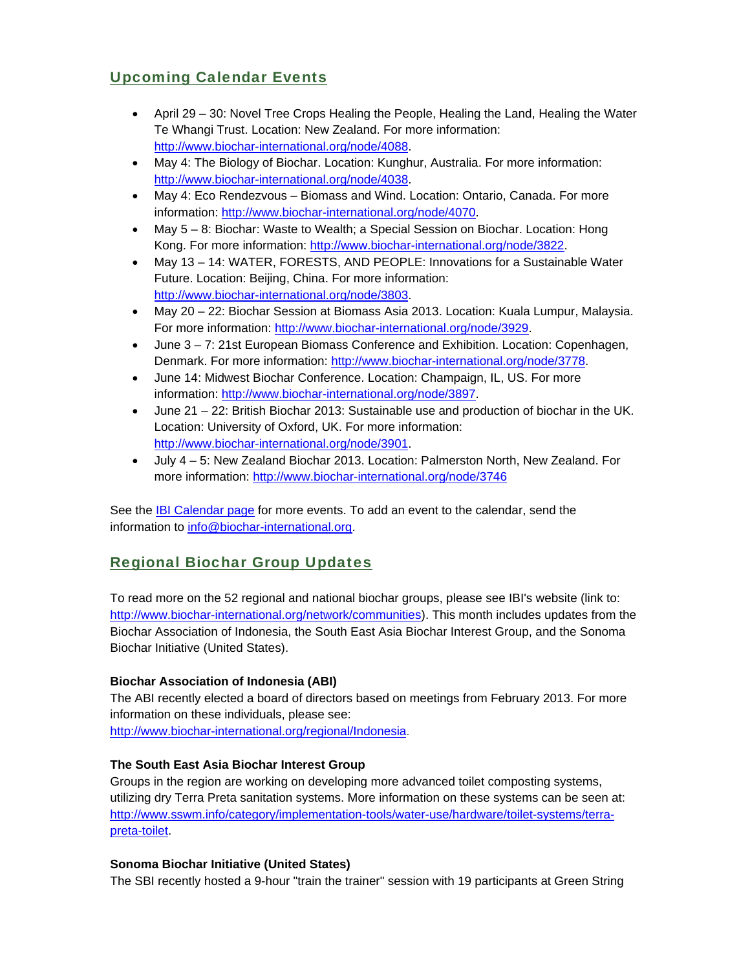# Upcoming Calendar Events

- April 29 30: Novel Tree Crops Healing the People, Healing the Land, Healing the Water Te Whangi Trust. Location: New Zealand. For more information: http://www.biochar-international.org/node/4088.
- May 4: The Biology of Biochar. Location: Kunghur, Australia. For more information: http://www.biochar-international.org/node/4038.
- May 4: Eco Rendezvous Biomass and Wind. Location: Ontario, Canada. For more information: http://www.biochar-international.org/node/4070.
- May 5 8: Biochar: Waste to Wealth; a Special Session on Biochar. Location: Hong Kong. For more information: http://www.biochar-international.org/node/3822.
- May 13 14: WATER, FORESTS, AND PEOPLE: Innovations for a Sustainable Water Future. Location: Beijing, China. For more information: http://www.biochar-international.org/node/3803.
- May 20 22: Biochar Session at Biomass Asia 2013. Location: Kuala Lumpur, Malaysia. For more information: http://www.biochar-international.org/node/3929.
- June 3 7: 21st European Biomass Conference and Exhibition. Location: Copenhagen, Denmark. For more information: http://www.biochar-international.org/node/3778.
- June 14: Midwest Biochar Conference. Location: Champaign, IL, US. For more information: http://www.biochar-international.org/node/3897.
- June 21 22: British Biochar 2013: Sustainable use and production of biochar in the UK. Location: University of Oxford, UK. For more information: http://www.biochar-international.org/node/3901.
- July 4 5: New Zealand Biochar 2013. Location: Palmerston North, New Zealand. For more information: http://www.biochar-international.org/node/3746

See the IBI Calendar page for more events. To add an event to the calendar, send the information to info@biochar-international.org.

# Regional Biochar Group Updates

To read more on the 52 regional and national biochar groups, please see IBI's website (link to: http://www.biochar-international.org/network/communities). This month includes updates from the Biochar Association of Indonesia, the South East Asia Biochar Interest Group, and the Sonoma Biochar Initiative (United States).

### **Biochar Association of Indonesia (ABI)**

The ABI recently elected a board of directors based on meetings from February 2013. For more information on these individuals, please see: http://www.biochar-international.org/regional/Indonesia.

#### **The South East Asia Biochar Interest Group**

Groups in the region are working on developing more advanced toilet composting systems, utilizing dry Terra Preta sanitation systems. More information on these systems can be seen at: http://www.sswm.info/category/implementation-tools/water-use/hardware/toilet-systems/terrapreta-toilet.

#### **Sonoma Biochar Initiative (United States)**

The SBI recently hosted a 9-hour "train the trainer" session with 19 participants at Green String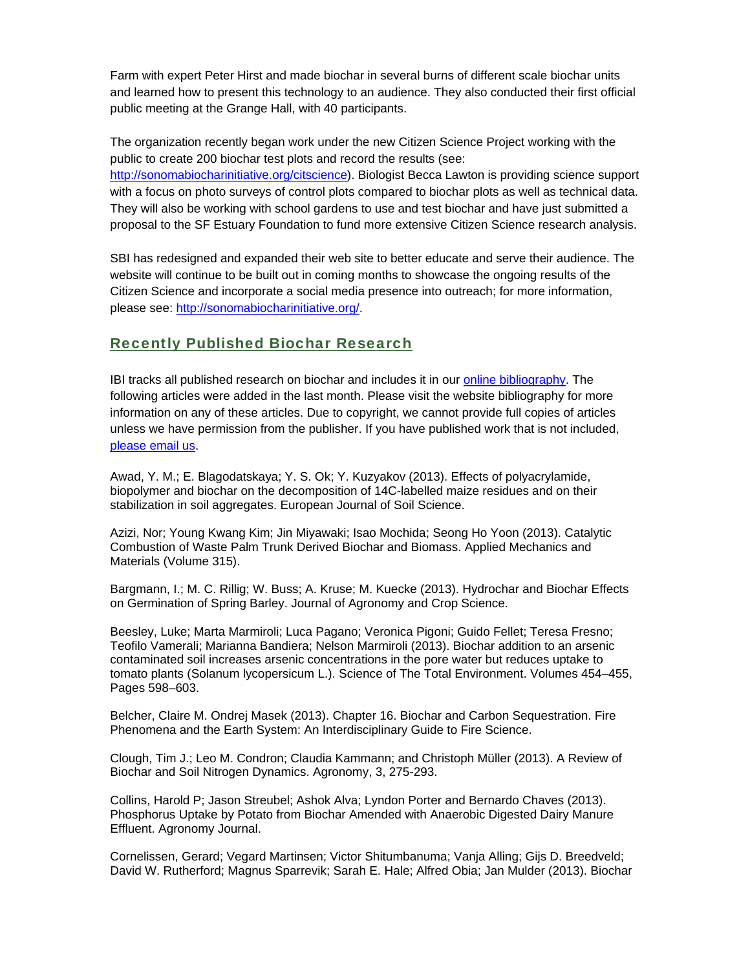Farm with expert Peter Hirst and made biochar in several burns of different scale biochar units and learned how to present this technology to an audience. They also conducted their first official public meeting at the Grange Hall, with 40 participants.

The organization recently began work under the new Citizen Science Project working with the public to create 200 biochar test plots and record the results (see: http://sonomabiocharinitiative.org/citscience). Biologist Becca Lawton is providing science support with a focus on photo surveys of control plots compared to biochar plots as well as technical data. They will also be working with school gardens to use and test biochar and have just submitted a proposal to the SF Estuary Foundation to fund more extensive Citizen Science research analysis.

SBI has redesigned and expanded their web site to better educate and serve their audience. The website will continue to be built out in coming months to showcase the ongoing results of the Citizen Science and incorporate a social media presence into outreach; for more information, please see: http://sonomabiocharinitiative.org/.

### Recently Published Biochar Research

IBI tracks all published research on biochar and includes it in our online bibliography. The following articles were added in the last month. Please visit the website bibliography for more information on any of these articles. Due to copyright, we cannot provide full copies of articles unless we have permission from the publisher. If you have published work that is not included, please email us.

Awad, Y. M.; E. Blagodatskaya; Y. S. Ok; Y. Kuzyakov (2013). Effects of polyacrylamide, biopolymer and biochar on the decomposition of 14C-labelled maize residues and on their stabilization in soil aggregates. European Journal of Soil Science.

Azizi, Nor; Young Kwang Kim; Jin Miyawaki; Isao Mochida; Seong Ho Yoon (2013). Catalytic Combustion of Waste Palm Trunk Derived Biochar and Biomass. Applied Mechanics and Materials (Volume 315).

Bargmann, I.; M. C. Rillig; W. Buss; A. Kruse; M. Kuecke (2013). Hydrochar and Biochar Effects on Germination of Spring Barley. Journal of Agronomy and Crop Science.

Beesley, Luke; Marta Marmiroli; Luca Pagano; Veronica Pigoni; Guido Fellet; Teresa Fresno; Teofilo Vamerali; Marianna Bandiera; Nelson Marmiroli (2013). Biochar addition to an arsenic contaminated soil increases arsenic concentrations in the pore water but reduces uptake to tomato plants (Solanum lycopersicum L.). Science of The Total Environment. Volumes 454–455, Pages 598–603.

Belcher, Claire M. Ondrej Masek (2013). Chapter 16. Biochar and Carbon Sequestration. Fire Phenomena and the Earth System: An Interdisciplinary Guide to Fire Science.

Clough, Tim J.; Leo M. Condron; Claudia Kammann; and Christoph Müller (2013). A Review of Biochar and Soil Nitrogen Dynamics. Agronomy, 3, 275-293.

Collins, Harold P; Jason Streubel; Ashok Alva; Lyndon Porter and Bernardo Chaves (2013). Phosphorus Uptake by Potato from Biochar Amended with Anaerobic Digested Dairy Manure Effluent. Agronomy Journal.

Cornelissen, Gerard; Vegard Martinsen; Victor Shitumbanuma; Vanja Alling; Gijs D. Breedveld; David W. Rutherford; Magnus Sparrevik; Sarah E. Hale; Alfred Obia; Jan Mulder (2013). Biochar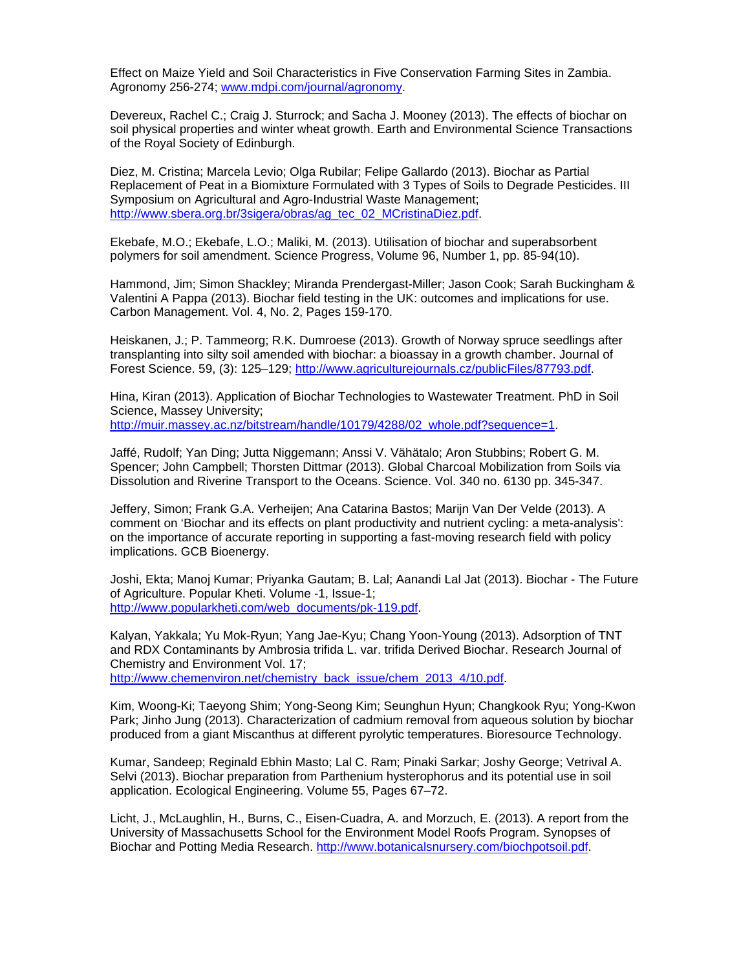Effect on Maize Yield and Soil Characteristics in Five Conservation Farming Sites in Zambia. Agronomy 256-274; www.mdpi.com/journal/agronomy.

Devereux, Rachel C.; Craig J. Sturrock; and Sacha J. Mooney (2013). The effects of biochar on soil physical properties and winter wheat growth. Earth and Environmental Science Transactions of the Royal Society of Edinburgh.

Diez, M. Cristina; Marcela Levio; Olga Rubilar; Felipe Gallardo (2013). Biochar as Partial Replacement of Peat in a Biomixture Formulated with 3 Types of Soils to Degrade Pesticides. III Symposium on Agricultural and Agro-Industrial Waste Management; http://www.sbera.org.br/3sigera/obras/ag\_tec\_02\_MCristinaDiez.pdf.

Ekebafe, M.O.; Ekebafe, L.O.; Maliki, M. (2013). Utilisation of biochar and superabsorbent polymers for soil amendment. Science Progress, Volume 96, Number 1, pp. 85-94(10).

Hammond, Jim; Simon Shackley; Miranda Prendergast-Miller; Jason Cook; Sarah Buckingham & Valentini A Pappa (2013). Biochar field testing in the UK: outcomes and implications for use. Carbon Management. Vol. 4, No. 2, Pages 159-170.

Heiskanen, J.; P. Tammeorg; R.K. Dumroese (2013). Growth of Norway spruce seedlings after transplanting into silty soil amended with biochar: a bioassay in a growth chamber. Journal of Forest Science. 59, (3): 125–129; http://www.agriculturejournals.cz/publicFiles/87793.pdf.

Hina, Kiran (2013). Application of Biochar Technologies to Wastewater Treatment. PhD in Soil Science, Massey University; http://muir.massey.ac.nz/bitstream/handle/10179/4288/02\_whole.pdf?sequence=1.

Jaffé, Rudolf; Yan Ding; Jutta Niggemann; Anssi V. Vähätalo; Aron Stubbins; Robert G. M. Spencer; John Campbell; Thorsten Dittmar (2013). Global Charcoal Mobilization from Soils via Dissolution and Riverine Transport to the Oceans. Science. Vol. 340 no. 6130 pp. 345-347.

Jeffery, Simon; Frank G.A. Verheijen; Ana Catarina Bastos; Marijn Van Der Velde (2013). A comment on 'Biochar and its effects on plant productivity and nutrient cycling: a meta-analysis': on the importance of accurate reporting in supporting a fast-moving research field with policy implications. GCB Bioenergy.

Joshi, Ekta; Manoj Kumar; Priyanka Gautam; B. Lal; Aanandi Lal Jat (2013). Biochar - The Future of Agriculture. Popular Kheti. Volume -1, Issue-1; http://www.popularkheti.com/web\_documents/pk-119.pdf.

Kalyan, Yakkala; Yu Mok-Ryun; Yang Jae-Kyu; Chang Yoon-Young (2013). Adsorption of TNT and RDX Contaminants by Ambrosia trifida L. var. trifida Derived Biochar. Research Journal of Chemistry and Environment Vol. 17; http://www.chemenviron.net/chemistry\_back\_issue/chem\_2013\_4/10.pdf.

Kim, Woong-Ki; Taeyong Shim; Yong-Seong Kim; Seunghun Hyun; Changkook Ryu; Yong-Kwon Park; Jinho Jung (2013). Characterization of cadmium removal from aqueous solution by biochar produced from a giant Miscanthus at different pyrolytic temperatures. Bioresource Technology.

Kumar, Sandeep; Reginald Ebhin Masto; Lal C. Ram; Pinaki Sarkar; Joshy George; Vetrival A. Selvi (2013). Biochar preparation from Parthenium hysterophorus and its potential use in soil application. Ecological Engineering. Volume 55, Pages 67–72.

Licht, J., McLaughlin, H., Burns, C., Eisen-Cuadra, A. and Morzuch, E. (2013). A report from the University of Massachusetts School for the Environment Model Roofs Program. Synopses of Biochar and Potting Media Research. http://www.botanicalsnursery.com/biochpotsoil.pdf.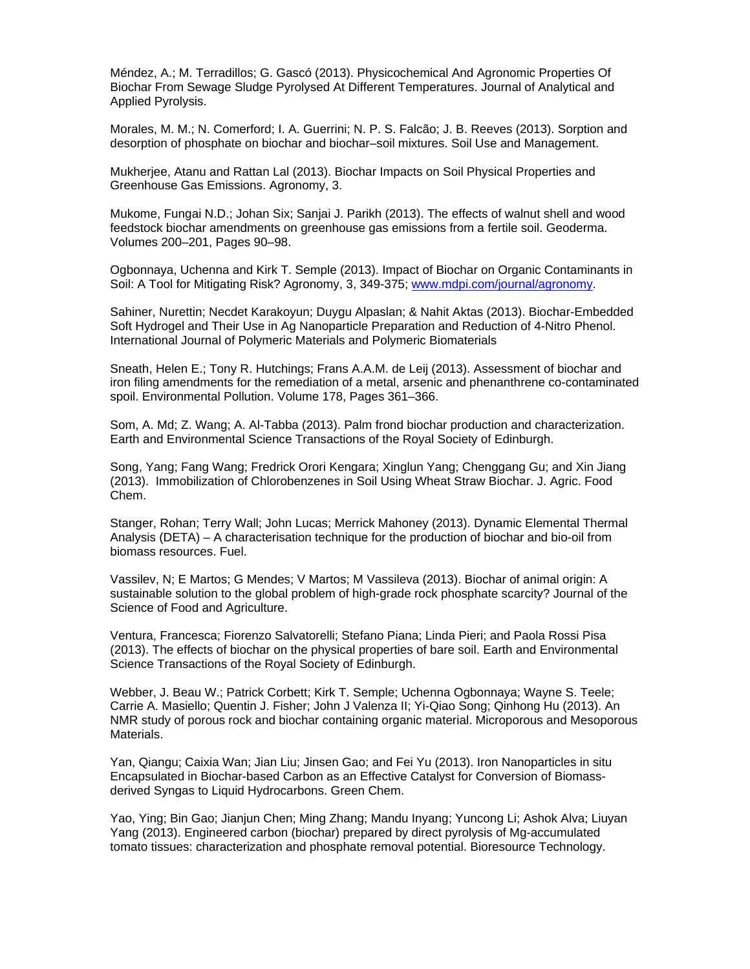Méndez, A.; M. Terradillos; G. Gascó (2013). Physicochemical And Agronomic Properties Of Biochar From Sewage Sludge Pyrolysed At Different Temperatures. Journal of Analytical and Applied Pyrolysis.

Morales, M. M.; N. Comerford; I. A. Guerrini; N. P. S. Falcão; J. B. Reeves (2013). Sorption and desorption of phosphate on biochar and biochar–soil mixtures. Soil Use and Management.

Mukherjee, Atanu and Rattan Lal (2013). Biochar Impacts on Soil Physical Properties and Greenhouse Gas Emissions. Agronomy, 3.

Mukome, Fungai N.D.; Johan Six; Sanjai J. Parikh (2013). The effects of walnut shell and wood feedstock biochar amendments on greenhouse gas emissions from a fertile soil. Geoderma. Volumes 200–201, Pages 90–98.

Ogbonnaya, Uchenna and Kirk T. Semple (2013). Impact of Biochar on Organic Contaminants in Soil: A Tool for Mitigating Risk? Agronomy, 3, 349-375; www.mdpi.com/journal/agronomy.

Sahiner, Nurettin; Necdet Karakoyun; Duygu Alpaslan; & Nahit Aktas (2013). Biochar-Embedded Soft Hydrogel and Their Use in Ag Nanoparticle Preparation and Reduction of 4-Nitro Phenol. International Journal of Polymeric Materials and Polymeric Biomaterials

Sneath, Helen E.; Tony R. Hutchings; Frans A.A.M. de Leij (2013). Assessment of biochar and iron filing amendments for the remediation of a metal, arsenic and phenanthrene co-contaminated spoil. Environmental Pollution. Volume 178, Pages 361–366.

Som, A. Md; Z. Wang; A. Al-Tabba (2013). Palm frond biochar production and characterization. Earth and Environmental Science Transactions of the Royal Society of Edinburgh.

Song, Yang; Fang Wang; Fredrick Orori Kengara; Xinglun Yang; Chenggang Gu; and Xin Jiang (2013). Immobilization of Chlorobenzenes in Soil Using Wheat Straw Biochar. J. Agric. Food Chem.

Stanger, Rohan; Terry Wall; John Lucas; Merrick Mahoney (2013). Dynamic Elemental Thermal Analysis (DETA) – A characterisation technique for the production of biochar and bio-oil from biomass resources. Fuel.

Vassilev, N; E Martos; G Mendes; V Martos; M Vassileva (2013). Biochar of animal origin: A sustainable solution to the global problem of high-grade rock phosphate scarcity? Journal of the Science of Food and Agriculture.

Ventura, Francesca; Fiorenzo Salvatorelli; Stefano Piana; Linda Pieri; and Paola Rossi Pisa (2013). The effects of biochar on the physical properties of bare soil. Earth and Environmental Science Transactions of the Royal Society of Edinburgh.

Webber, J. Beau W.; Patrick Corbett; Kirk T. Semple; Uchenna Ogbonnaya; Wayne S. Teele; Carrie A. Masiello; Quentin J. Fisher; John J Valenza II; Yi-Qiao Song; Qinhong Hu (2013). An NMR study of porous rock and biochar containing organic material. Microporous and Mesoporous Materials.

Yan, Qiangu; Caixia Wan; Jian Liu; Jinsen Gao; and Fei Yu (2013). Iron Nanoparticles in situ Encapsulated in Biochar-based Carbon as an Effective Catalyst for Conversion of Biomassderived Syngas to Liquid Hydrocarbons. Green Chem.

Yao, Ying; Bin Gao; Jianjun Chen; Ming Zhang; Mandu Inyang; Yuncong Li; Ashok Alva; Liuyan Yang (2013). Engineered carbon (biochar) prepared by direct pyrolysis of Mg-accumulated tomato tissues: characterization and phosphate removal potential. Bioresource Technology.